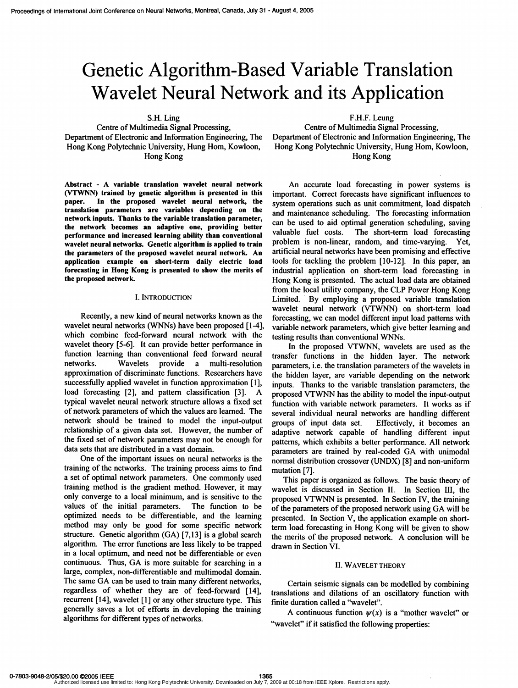# Genetic Algorithm-Based Variable Translation Wavelet Neural Network and its Application

S.H. Ling

Centre of Multimedia Signal Processing, Department of Electronic and Information Engineering, The Hong Kong Polytechnic University, Hung Hom, Kowloon, Hong Kong

Abstract - A variable translation wavelet neural network (VTWNN) trained by genetic algorithm is presented in this paper. In the proposed wavelet neural network, the translation parameters are variables depending on the network inputs. Thanks to the variable translation parameter, the network becomes an adaptive one, providing better performance and increased learning ability than conventional wavelet neural networks. Genetic algorithm is applied to train the parameters of the proposed wavelet neural network An application example on short-term daily electric load forecasting in Hong Kong is presented to show the merits of the proposed network

#### I. INTRODUCTION

Recently, a new kind of neural networks known as the wavelet neural networks (WNNs) have been proposed [1-4], which combine feed-forward neural network with the wavelet theory [5-6]. It can provide better performance in function learning than conventional feed forward neural networks. Wavelets provide a multi-resolution networks. Wavelets provide a multi-resolution approximation of discriminate functions. Researchers have successfully applied wavelet in function approximation [1], load forecasting [2], and pattern classification [3]. typical wavelet neural network structure allows a fixed set of network parameters of which the values are learned. The network should be trained to model the input-output relationship of a given data set. However, the number of the fixed set of network parameters may not be enough for data sets that are distributed in a vast domain.

One of the important issues on neural networks is the training of the networks. The training process aims to find a set of optimal network parameters. One commonly used training method is the gradient method. However, it may only converge to a local minimum, and is sensitive to the values of the initial parameters. The function to be optimized needs to be differentiable, and the learning method may only be good for some specific network structure. Genetic algorithm (GA) [7,13] is a global search algorithm. The error functions are less likely to be trapped in a local optimum, and need not be differentiable or even continuous. Thus, GA is more suitable for searching in <sup>a</sup> large, complex, non-differentiable and multimodal domain. The same GA can be used to train many different networks, regardless of whether they are of feed-forward [14], recurrent [14], wavelet [1] or any other structure type. This generally saves a lot of efforts in developing the training algorithms for different types of networks.

F.H.F. Leung

Centre of Multimedia Signal Processing, Department of Electronic and Information Engineering, The Hong Kong Polytechnic University, Hung Hom, Kowloon, Hong Kong

An accurate load forecasting in power systems is important. Correct forecasts have significant influences to system operations such as unit commitment, load dispatch and maintenance scheduling. The forecasting information can be used to aid optimal generation scheduling, saving valuable fuel costs. The short-term load forecasting problem is non-linear, random, and time-varying. Yet, artificial neural networks have been promising and effective tools for tackling the problem [10-12]. In this paper, an industrial application on short-term load forecasting in Hong Kong is presented. The actual load data are obtained from the local utility company, the CLP Power Hong Kong Limited. By employing a proposed variable translation wavelet neural network (VTWNN) on short-term load forecasting, we can model different input load patterns with variable network parameters, which give better learning and testing results than conventional WNNs.

In the proposed VTWNN, wavelets are used as the transfer functions in the hidden layer. The network parameters, i.e. the translation parameters of the wavelets in the hidden layer, are variable depending on the network inputs. Thanks to the variable translation parameters, the proposed VTWNN has the ability to model the input-output function with variable network parameters. It works as if several individual neural networks are handling different groups of input data set. Effectively, it becomes an adaptive network capable of handling different input patterns, which exhibits a better performance. All network parameters are trained by real-coded GA with unimodal normal distribution crossover (UNDX) [8] and non-uniform mutation [7].

This paper is organized as follows. The basic theory of wavelet is discussed in Section II. In Section III, the proposed VTWNN is presented. In Section IV, the training of the parameters of the proposed network using GA will be presented. In Section V, the application example on shortterm load forecasting in Hong Kong will be given to show the merits of the proposed network. A conclusion will be drawn in Section VI.

### II. WAVELET THEORY

Certain seismic signals can be modelled by combining translations and dilations of an oscillatory function with finite duration called a "wavelet".

A continuous function  $\psi(x)$  is a "mother wavelet" or "wavelet" if it satisfied the following properties: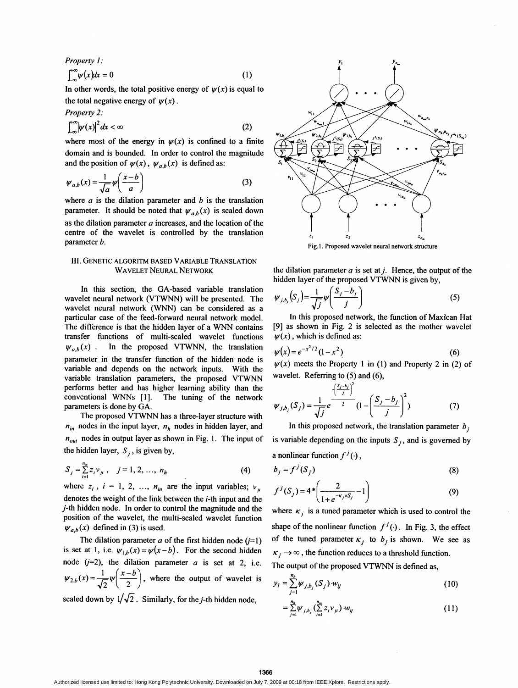Property 1:

$$
\int_{-\infty}^{\infty} \psi(x) dx = 0 \tag{1}
$$

In other words, the total positive energy of  $\psi(x)$  is equal to the total negative energy of  $\psi(x)$ .

Property 2:  
\n
$$
\int_{-\infty}^{\infty} |\psi(x)|^2 dx < \infty
$$
\n(2)

where most of the energy in  $\psi(x)$  is confined to a finite domain and is bounded. In order to control the magnitude and the position of  $\psi(x)$ ,  $\psi_{a,b}(x)$  is defined as:

$$
\psi_{a,b}(x) = \frac{1}{\sqrt{a}} \psi\left(\frac{x-b}{a}\right) \tag{3}
$$

where  $a$  is the dilation parameter and  $b$  is the translation parameter. It should be noted that  $\psi_{a,b}(x)$  is scaled down as the dilation parameter  $a$  increases, and the location of the centre of the wavelet is controlled by the translation parameter b.

## III. GENETIC ALGORITM BASED VARIABLE TRANSLATION WAVELET NEURAL NETWORK

In this section, the GA-based variable translation wavelet neural network (VTWNN) will be presented. The wavelet neural network (WNN) can be considered as <sup>a</sup> particular case of the feed-forward neural network model. The difference is that the hidden layer of <sup>a</sup> WNN contains transfer functions of multi-scaled wavelet functions  $\psi_{a,b}(x)$ . In the proposed VTWNN, the translation parameter in the transfer function of the hidden node is variable and depends on the network inputs. With the variable translation parameters, the proposed VTWNN performs better and has higher learning ability than the conventional WNNs [1]. The tuning of the network parameters is done by GA.

The proposed VTWNN has <sup>a</sup> three-layer structure with  $n_{in}$  nodes in the input layer,  $n_h$  nodes in hidden layer, and  $n_{out}$  nodes in output layer as shown in Fig. 1. The input of the hidden layer,  $S_i$ , is given by,

$$
S_j = \sum_{i=1}^{n_m} z_i v_{ji}, \quad j = 1, 2, ..., n_h
$$
 (4)

where  $z_i$ ,  $i = 1, 2, ..., n_{in}$  are the input variables;  $v_{ii}$ denotes the weight of the link between the i-th input and the j-th hidden node. In order to control the magnitude and the position of the wavelet, the multi-scaled wavelet function  $\psi_{a,b}(x)$  defined in (3) is used.

The dilation parameter  $a$  of the first hidden node  $(j=1)$ is set at 1, i.e.  $\psi_{1,b}(x) = \psi(x - b)$ . For the second hidden node  $(j=2)$ , the dilation parameter a is set at 2, i.e.  $\psi_{2,b}(x) = \frac{1}{\sqrt{2}} \psi\left(\frac{x-b}{2}\right)$ , where the output of wavelet is scaled down by  $1/\sqrt{2}$ . Similarly, for the *j*-th hidden node,



Fig. 1. Proposed wavelet neural network structure

the dilation parameter  $a$  is set at  $j$ . Hence, the output of the hidden layer of the proposed VTWNN is given by,

$$
\psi_{j,b_j}(S_j) = \frac{1}{\sqrt{j}} \psi\left(\frac{S_j - b_j}{j}\right) \tag{5}
$$

In this proposed network, the function of Maxican Hat [9] as shown in Fig. 2 is selected as the mother wavelet  $\psi(x)$ , which is defined as:

$$
\psi(x) = e^{-x^2/2} (1 - x^2)
$$
 (6)

 $\psi(x)$  meets the Property 1 in (1) and Property 2 in (2) of wavelet. Referring to (5) and (6),

$$
\psi_{j,b_j}(S_j) = \frac{1}{\sqrt{j}} e^{\frac{\left(\frac{y_j - b_j}{j}\right)}{2}} (1 - \left(\frac{S_j - b_j}{j}\right)^2)
$$
(7)

In this proposed network, the translation parameter  $b_i$ is variable depending on the inputs  $S_j$ , and is governed by a nonlinear function  $f^{j}(\cdot)$ ,

$$
b_j = f^j(S_j) \tag{8}
$$

$$
f^{j}(S_{j}) = 4 * \left(\frac{2}{1 + e^{-\kappa_{j} \times S_{j}}} - 1\right)
$$
 (9)

where  $\kappa_j$  is a tuned parameter which is used to control the shape of the nonlinear function  $f^{j}(\cdot)$ . In Fig. 3, the effect of the tuned parameter  $\kappa_j$  to  $b_j$  is shown. We see as  $\kappa_j \rightarrow \infty$ , the function reduces to a threshold function. The output of the proposed VTWNN is defined as,

$$
y_{l} = \sum_{j=1}^{n_h} \psi_{j,b_j}(S_j) w_{lj}
$$
 (10)

$$
= \sum_{j=1}^{n_h} \psi_{j,b_j} \left( \sum_{i=1}^{n_u} z_i v_{ji} \right) \cdot w_{ij}
$$
 (11)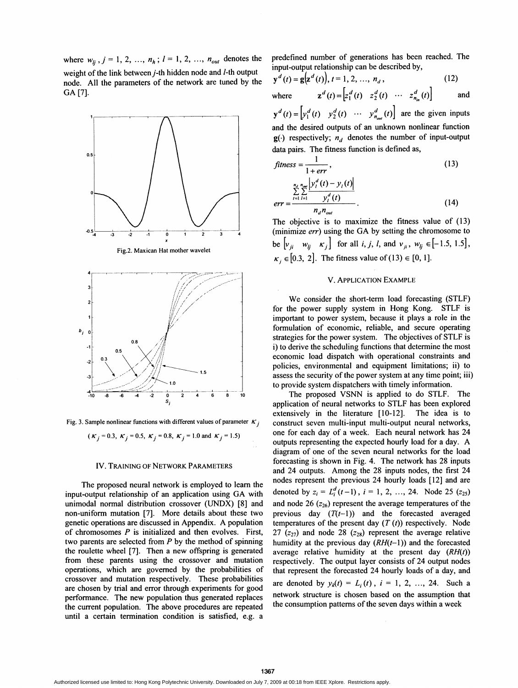where  $w_{li}$ ,  $j=1, 2, ..., n_h$ ;  $l=1, 2, ..., n_{out}$  denotes the weight of the link between j-th hidden node and l-th output node. All the parameters of the network are tuned by the GA [7].



Fig. 3. Sample nonlinear functions with different values of parameter  $K_i$ 

( $K_i = 0.3$ ,  $K_j = 0.5$ ,  $K_j = 0.8$ ,  $K_j = 1.0$  and  $K_j = 1.5$ )

### IV. TRAINING OF NETWORK PARAMETERS

The proposed neural network is employed to leam the input-output relationship of an application using GA with unimodal normal distribution crossover (UNDX) [8] and non-uniform mutation [7]. More details about these two genetic operations are discussed in Appendix. A population of chromosomes  $P$  is initialized and then evolves. First, two parents are selected from  $P$  by the method of spinning the roulette wheel [7]. Then a new offspring is generated from these parents using the crossover and mutation operations, which are governed by the probabilities of crossover and mutation respectively. These probabilities are chosen by trial and error through experiments for good performance. The new population thus generated replaces the current population. The above procedures are repeated until a certain termination condition is satisfied, e.g. a

predefined number of generations has been reached. The input-output relationship can be described by,

$$
\mathbf{y}^{d}(t) = \mathbf{g}(\mathbf{z}^{d}(t)), t = 1, 2, ..., n_{d},
$$
\n(12)

where  $\mathbf{z}^{d}(t) = \begin{bmatrix} z_1^{d}(t) & z_2^{d}(t) & \cdots & z_{n_{in}}^{d}(t) \end{bmatrix}$  and

 $y^{d}(t) = \begin{bmatrix} y_1^{d}(t) & y_2^{d}(t) & \cdots & y_{n_{out}}^{d}(t) \end{bmatrix}$  are the given inputs and the desired outputs of an unknown nonlinear function  $g(\cdot)$  respectively;  $n_d$  denotes the number of input-output data pairs. The fitness function is defined as,

$$
fitness = \frac{1}{1 + err},
$$
\n
$$
\frac{\sum_{n_d}^n \sum_{m}^n |y_i^d(t) - y_i(t)|}{\sum_{i=1}^n \sum_{l=1}^n \frac{y_i^d(t)}{y_i^d(t)}}.
$$
\n(13)

The objective is to maximize the fitness value of (13) (minimize err) using the GA by setting the chromosome to be  $\begin{bmatrix} v_{ji} & w_{ij} & \kappa_j \end{bmatrix}$  for all *i*, *j*, *l*, and  $v_{ji}$ ,  $w_{ij} \in [-1.5, 1.5]$ ,  $\kappa_i \in [0.3, 2]$ . The fitness value of (13)  $\in [0, 1]$ .

#### V. APPLICATION EXAMPLE

We consider the short-term load forecasting (STLF) for the power supply system in Hong Kong. STLF is important to power system, because it plays a role in the formulation of economic, reliable, and secure operating strategies for the power system. The objectives of STLF is i) to derive the scheduling functions that determine the most economic load dispatch with operational constraints and policies, environmental and equipment limitations; ii) to assess the security of the power system at any time point; iii) to provide system dispatchers with timely information.

The proposed VSNN is applied to do STLF. The application of neural networks to STLF has been explored extensively in the literature [10-12]. The idea is to construct seven multi-input multi-output neural networks, one for each day of a week. Each neural network has 24 outputs representing the expected hourly load for <sup>a</sup> day. A diagram of one of the seven neural networks for the load forecasting is shown in Fig. 4. The network has 28 inputs and 24 outputs. Among the 28 inputs nodes, the first 24 nodes represent the previous 24 hourly loads [12] and are denoted by  $z_i = L_i^d(t-1)$ ,  $i = 1, 2, ..., 24$ . Node 25 ( $z_{25}$ ) and node 26  $(z_{26})$  represent the average temperatures of the previous day  $(T(t-1))$  and the forecasted averaged temperatures of the present day  $(T(t))$  respectively. Node 27 ( $z_{27}$ ) and node 28 ( $z_{28}$ ) represent the average relative humidity at the previous day  $(RH(t-1))$  and the forecasted average relative humidity at the present day  $(RH(t))$ respectively. The output layer consists of 24 output nodes that represent the forecasted 24 hourly loads of a day, and are denoted by  $y_k(t) = L_i(t)$ ,  $i = 1, 2, ..., 24$ . Such a network structure is chosen based on the assumption that the consumption patterns of the seven days within a week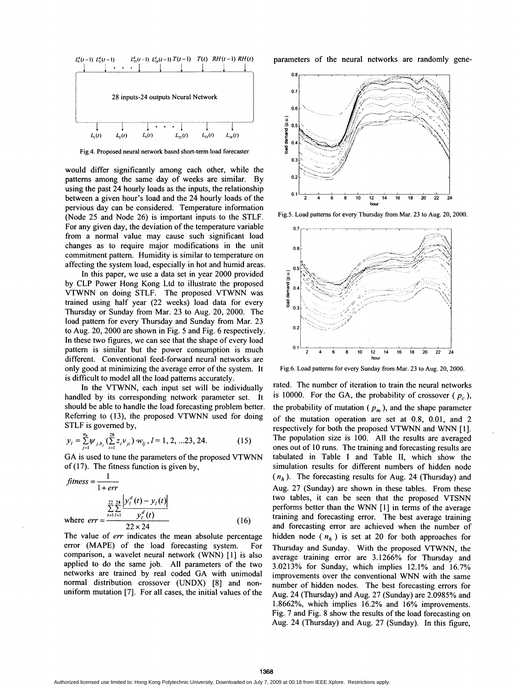

Fig.4. Proposed neural network based short-term load forecaster

would differ significantly among each other, while the patterns among the same day of weeks are similar. By using the past 24 hourly loads as the inputs, the relationship between a given hour's load and the 24 hourly loads of the pervious day can be considered. Temperature information (Node 25 and Node 26) is important inputs to the STLF. For any given day, the deviation of the temperature variable from a normal value may cause such significant load changes as to require major modifications in the unit commitment pattem.. Humidity is similar to temperature on affecting the system load, especially in hot and humid areas.

In this paper, we use a data set in year 2000 provided by CLP Power Hong Kong Ltd to illustrate the proposed VTWNN on doing STLF. The proposed VTWNN was trained using half year (22 weeks) load data for every Thursday or Sunday from Mar. 23 to Aug. 20, 2000. The load pattern for every Thursday and Sunday from Mar. 23 to Aug. 20, 2000 are shown in Fig. 5 and Fig. 6 respectively. In these two figures, we can see that the shape of every load pattern is similar but the power consumption is much different. Conventional feed-forward neural networks are only good at minimizing the average error of the system. It is difficult to model all the load patterns accurately.

In the VTWNN, each input set will be individually handled by its corresponding network parameter set. It should be able to handle the load forecasting problem better. Referring to (13), the proposed VTWNN used for doing STLF is governed by,

$$
y_{l} = \sum_{j=1}^{n_{h}} \psi_{j,b_{j}} \left( \sum_{i=1}^{28} z_{i} v_{ji} \right) w_{lj}, l = 1, 2, ... 23, 24.
$$
 (15)

GA is used to tune the parameters of the proposed VTWNN of (17). The fitness function is given by,

$$
fitness = \frac{1}{1 + err}
$$
  

$$
\frac{22}{2} \sum_{r=1}^{24} \frac{|y_i^d(t) - y_i(t)|}{y_i^d(t)}
$$
  
where  $err = \frac{1}{22 \times 24}$  (16)

The value of *err* indicates the mean absolute percentage error (MAPE) of the load forecasting system. For comparison, <sup>a</sup> wavelet neural network (WNN) [1] is also applied to do the same job. All parameters of the two networks are trained by real coded GA with unimodal normal distribution crossover (UNDX) [8] and nonuniform mutation [7]. For all cases, the initial values of the

parameters of the neural networks are randomly gene-



Fig.5. Load patterns for every Thursday from Mar. 23 to Aug. 20, 2000.



Fig.6. Load patterns for every Sunday from Mar. 23 to Aug. 20, 2000.

rated. The number of iteration to train the neural networks is 10000. For the GA, the probability of crossover ( $p_c$ ), the probability of mutation ( $p_m$ ), and the shape parameter of the mutation operation are set at 0.8, 0.01, and 2 respectively for both the proposed VTWNN and WNN [1]. The population size is 100. All the results are averaged ones out of <sup>10</sup> runs. The training and forecasting results are tabulated in Table <sup>I</sup> and Table II, which show the simulation results for different numbers of hidden node  $(n_h)$ . The forecasting results for Aug. 24 (Thursday) and Aug. 27 (Sunday) are shown in these tables. From these two tables, it can be seen that the proposed VTSNN performs better than the WNN [1] in terms of the average training and forecasting error. The best average training and forecasting error are achieved when the number of hidden node ( $n<sub>b</sub>$ ) is set at 20 for both approaches for Thursday and Sunday. With the proposed VTWNN, the average training error are 3.1266% for Thursday and 3.0213% for Sunday, which implies 12.1% and 16.7% improvements over the conventional WNN with the same number of hidden nodes. The best forecasting errors for Aug. 24 (Thursday) and Aug. 27 (Sunday) are 2.0985% and 1.8662%, which implies 16.2% and 16% improvements. Fig. 7 and Fig. 8 show the results of the load forecasting on Aug. 24 (Thursday) and Aug. 27 (Sunday). In this figure,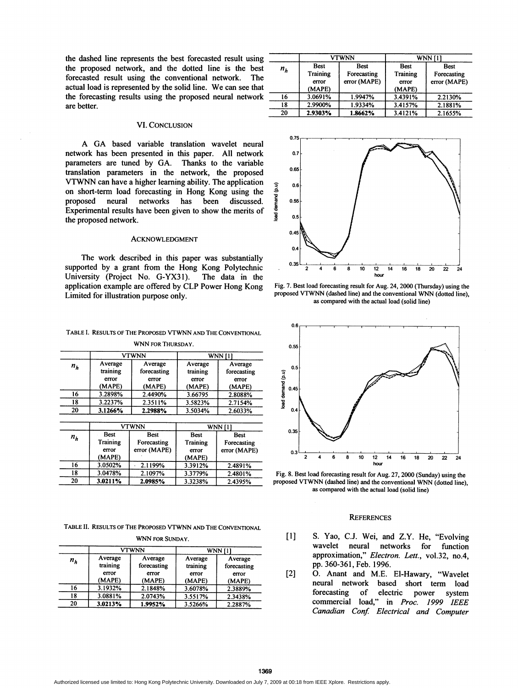the dashed line represents the best forecasted result using the proposed network, and the dotted line is the best forecasted result using the conventional network. The actual load is represented by the solid line. We can see that the forecasting results using the proposed neural network are better.

## VI. CONCLUSION

A GA based variable translation wavelet neural network has been presented in this paper. All network parameters are tuned by GA. Thanks to the variable translation parameters in the network, the proposed VTWNN can have <sup>a</sup> higher learning ability. The application on short-term load forecasting in Hong Kong using the proposed neural networks has been discussed. Experimental results have been given to show the merits of the proposed network.

# ACKNOWLEDGMENT

The work described in this paper was substantially supported by a grant from the Hong Kong Polytechnic University (Project No. G-YX31). The data in the application example are offered by CLP Power Hong Kong Limited for illustration purpose only.

#### TABLE I. RESULTS OF THE PROPOSED VTWNN AND THE CONVENTIONAL WNN FOR THURSDAY

| n <sub>k</sub> | <b>VTWNN</b>                           |                                           | <b>WNN</b> [1]                         |                                           |
|----------------|----------------------------------------|-------------------------------------------|----------------------------------------|-------------------------------------------|
|                | Average<br>training<br>error<br>(MAPE) | Average<br>forecasting<br>error<br>(MAPE) | Average<br>training<br>error<br>(MAPE) | Average<br>forecasting<br>error<br>(MAPE) |
| 16             | 3.2898%                                | 2.4490%                                   | 3.66795                                | 2.8088%                                   |
| 18             | 3.2237%                                | 2.3511%                                   | 3.5823%                                | 2.7154%                                   |
| 20             | 3.1266%                                | 2.2988%                                   | 3.5034%                                | 2.6033%                                   |

| $n_h$ | <b>VTWNN</b>                               |                                            | <b>WNN [1]</b>                             |                                            |
|-------|--------------------------------------------|--------------------------------------------|--------------------------------------------|--------------------------------------------|
|       | <b>Best</b><br>Training<br>error<br>(MAPE) | <b>Best</b><br>Forecasting<br>error (MAPE) | <b>Best</b><br>Training<br>error<br>(MAPE) | <b>Best</b><br>Forecasting<br>error (MAPE) |
| 16    | 3.0502%                                    | 2.1199%                                    | 3.3912%                                    | 2.4891%                                    |
| 18    | 3.0478%                                    | 2.1097%                                    | 3.3779%                                    | 2.4801%                                    |
| 20    | 3.0211%                                    | 2.0985%                                    | 3.3238%                                    | 2.4395%                                    |

TABLE II. RESULTS OF THE PROPOSED VTWNN AND THE CONVENTIONAL

| WNN FOR SUNDAY. |                                        |                                           |                                        |                                           |
|-----------------|----------------------------------------|-------------------------------------------|----------------------------------------|-------------------------------------------|
|                 | <b>VTWNN</b>                           |                                           | <b>WNN</b> [1]                         |                                           |
| $n_h$           | Average<br>training<br>error<br>(MAPE) | Average<br>forecasting<br>error<br>(MAPE) | Average<br>training<br>error<br>(MAPE) | Average<br>forecasting<br>error<br>(MAPE) |
| 16              | 3.1932%                                | 2.1848%                                   | 3.6078%                                | 2.3889%                                   |
| 18              | 3.0881%                                | 2.0743%                                   | 3.5517%                                | 2.3438%                                   |
| 20              | 3.0213%                                | 1.9952%                                   | 3.5266%                                | 2.2887%                                   |

|       | <b>VTWNN</b>                                      |                                            | WNN [1]                                    |                                            |
|-------|---------------------------------------------------|--------------------------------------------|--------------------------------------------|--------------------------------------------|
| $n_h$ | <b>Best</b><br><b>Training</b><br>error<br>(MAPE) | <b>Best</b><br>Forecasting<br>error (MAPE) | <b>Best</b><br>Training<br>error<br>(MAPE) | <b>Best</b><br>Forecasting<br>error (MAPE) |
| 16    | 3.0691%                                           | 1.9947%                                    | 3.4391%                                    | 2.2130%                                    |
| 18    | 2.9900%                                           | 1.9334%                                    | 3.4157%                                    | 2.1881%                                    |
| 20    | 2.9303%                                           | 1.8662%                                    | 3.4121%                                    | 2.1655%                                    |



Fig. 7. Best load forecasting result for Aug. 24, 2000 (Thursday) using the proposed VTWNN (dashed line) and the conventional WNN (dotted line), as compared with the actual load (solid line)



Fig. 8. Best load forecasting result for Aug. 27, 2000 (Sunday) using the proposed VTWNN (dashed line) and the conventional WNN (dotted line), as compared with the actual load (solid line)

# **REFERENCES**

- [1] S. Yao, C.J. Wei, and Z.Y. He, "Evolving wavelet neural networks for function approximation," Electron. Lett., vol.32, no.4, pp. 360-361, Feb. 1996.
- [2] 0. Anant and M.E. El-Hawary, "Wavelet neural network based short term load<br>forecasting of electric power system electric power system commercial load," in Proc. 1999 IEEE Canadian Conf: Electrical and Computer